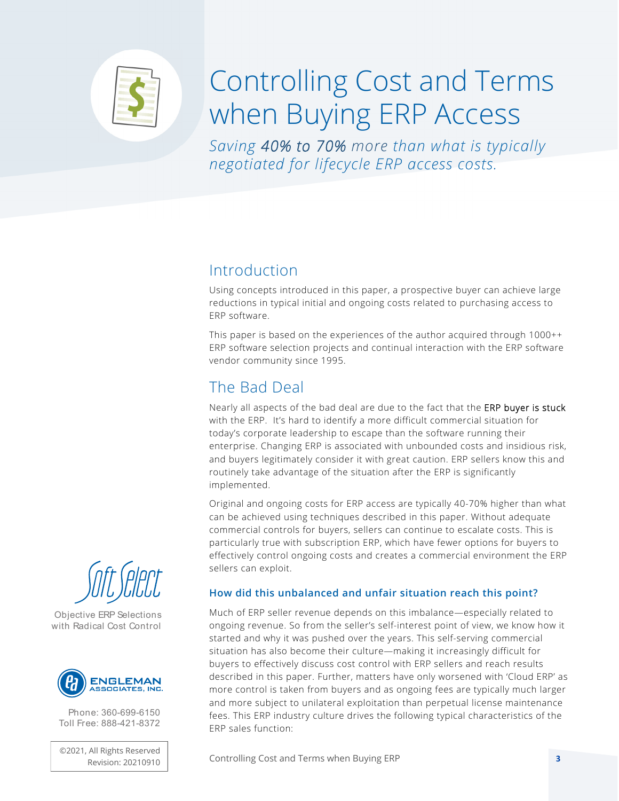

# Controlling Cost and Terms when Buying ERP Access

*Saving 40% to 70% more than what is typically negotiated for lifecycle ERP access costs.* 

#### Introduction

Using concepts introduced in this paper, a prospective buyer can achieve large reductions in typical initial and ongoing costs related to purchasing access to ERP software.

This paper is based on the experiences of the author acquired through 1000++ ERP software selection projects and continual interaction with the ERP software vendor community since 1995.

### The Bad Deal

Nearly all aspects of the bad deal are due to the fact that the ERP buyer is stuck with the ERP. It's hard to identify a more difficult commercial situation for today's corporate leadership to escape than the software running their enterprise. Changing ERP is associated with unbounded costs and insidious risk, and buyers legitimately consider it with great caution. ERP sellers know this and routinely take advantage of the situation after the ERP is significantly implemented.

Original and ongoing costs for ERP access are typically 40-70% higher than what can be achieved using techniques described in this paper. Without adequate commercial controls for buyers, sellers can continue to escalate costs. This is particularly true with subscription ERP, which have fewer options for buyers to effectively control ongoing costs and creates a commercial environment the ERP sellers can exploit.

#### How did this unbalanced and unfair situation reach this point?

Much of ERP seller revenue depends on this imbalance—especially related to ongoing revenue. So from the seller's self-interest point of view, we know how it started and why it was pushed over the years. This self-serving commercial situation has also become their culture—making it increasingly difficult for buyers to effectively discuss cost control with ERP sellers and reach results described in this paper. Further, matters have only worsened with 'Cloud ERP' as more control is taken from buyers and as ongoing fees are typically much larger and more subject to unilateral exploitation than perpetual license maintenance fees. This ERP industry culture drives the following typical characteristics of the ERP sales function:

Revision: 20210910 **Controlling Cost and Terms when Buying ERP 3** 



Objective ERP Selections with Radical Cost Control



Phone: 360-699-6150 Toll Free: 888-421-8372

©2021, All Rights Reserved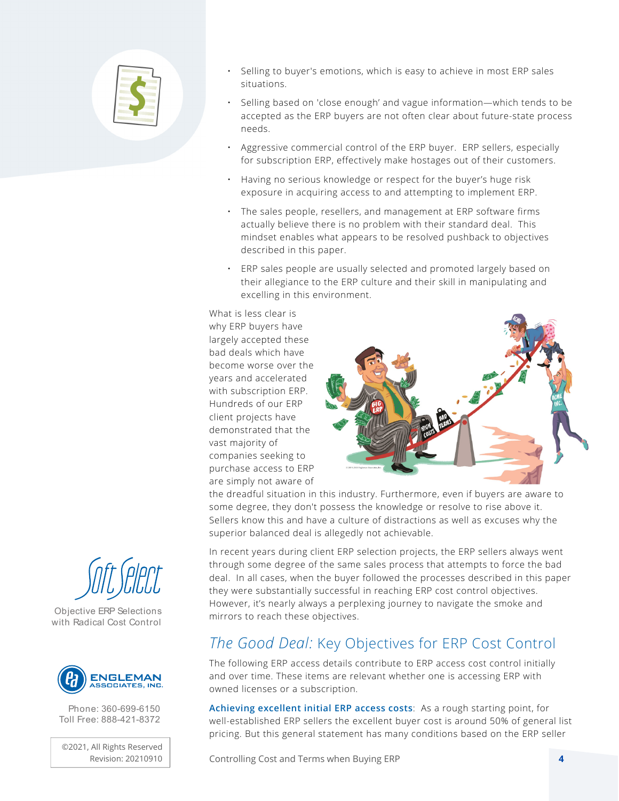

- Selling to buyer's emotions, which is easy to achieve in most ERP sales situations.
- Selling based on 'close enough' and vague information—which tends to be accepted as the ERP buyers are not often clear about future-state process needs.
- Aggressive commercial control of the ERP buyer. ERP sellers, especially for subscription ERP, effectively make hostages out of their customers.
- Having no serious knowledge or respect for the buyer's huge risk exposure in acquiring access to and attempting to implement ERP.
- The sales people, resellers, and management at ERP software firms actually believe there is no problem with their standard deal. This mindset enables what appears to be resolved pushback to objectives described in this paper.
- ERP sales people are usually selected and promoted largely based on their allegiance to the ERP culture and their skill in manipulating and excelling in this environment.

What is less clear is why ERP buyers have largely accepted these bad deals which have become worse over the years and accelerated with subscription ERP. Hundreds of our ERP client projects have demonstrated that the vast majority of companies seeking to purchase access to ERP are simply not aware of



the dreadful situation in this industry. Furthermore, even if buyers are aware to some degree, they don't possess the knowledge or resolve to rise above it. Sellers know this and have a culture of distractions as well as excuses why the superior balanced deal is allegedly not achievable.

In recent years during client ERP selection projects, the ERP sellers always went through some degree of the same sales process that attempts to force the bad deal. In all cases, when the buyer followed the processes described in this paper they were substantially successful in reaching ERP cost control objectives. However, it's nearly always a perplexing journey to navigate the smoke and mirrors to reach these objectives.

#### *The Good Deal:* Key Objectives for ERP Cost Control

The following ERP access details contribute to ERP access cost control initially and over time. These items are relevant whether one is accessing ERP with owned licenses or a subscription.

Achieving excellent initial ERP access costs: As a rough starting point, for well-established ERP sellers the excellent buyer cost is around 50% of general list pricing. But this general statement has many conditions based on the ERP seller

Controlling Cost and Terms when Buying ERP **4**



Objective ERP Selections with Radical Cost Control



Phone: 360-699-6150 Toll Free: 888-421-8372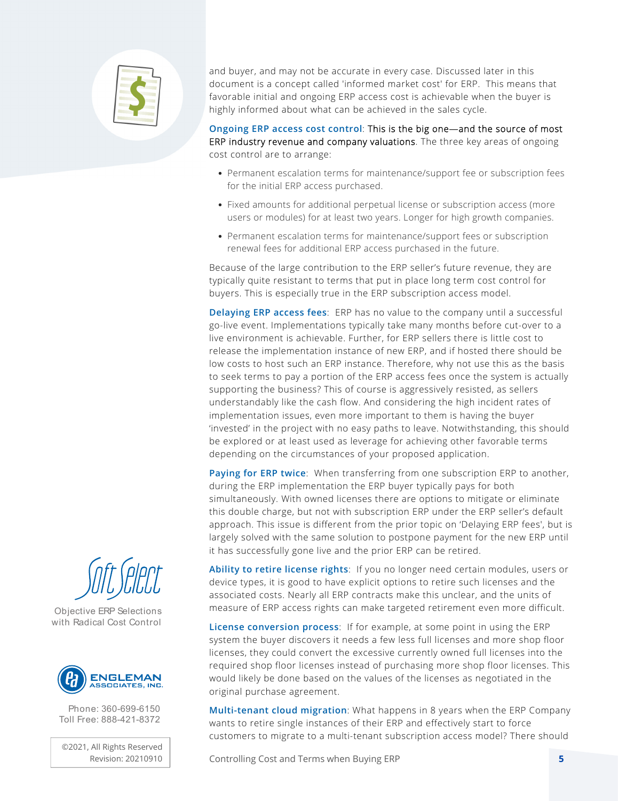

and buyer, and may not be accurate in every case. Discussed later in this document is a concept called 'informed market cost' for ERP. This means that favorable initial and ongoing ERP access cost is achievable when the buyer is highly informed about what can be achieved in the sales cycle.

Ongoing ERP access cost control: This is the big one—and the source of most ERP industry revenue and company valuations. The three key areas of ongoing cost control are to arrange:

- Permanent escalation terms for maintenance/support fee or subscription fees for the initial ERP access purchased.
- Fixed amounts for additional perpetual license or subscription access (more users or modules) for at least two years. Longer for high growth companies.
- Permanent escalation terms for maintenance/support fees or subscription renewal fees for additional ERP access purchased in the future.

Because of the large contribution to the ERP seller's future revenue, they are typically quite resistant to terms that put in place long term cost control for buyers. This is especially true in the ERP subscription access model.

Delaying ERP access fees: ERP has no value to the company until a successful go-live event. Implementations typically take many months before cut-over to a live environment is achievable. Further, for ERP sellers there is little cost to release the implementation instance of new ERP, and if hosted there should be low costs to host such an ERP instance. Therefore, why not use this as the basis to seek terms to pay a portion of the ERP access fees once the system is actually supporting the business? This of course is aggressively resisted, as sellers understandably like the cash flow. And considering the high incident rates of implementation issues, even more important to them is having the buyer 'invested' in the project with no easy paths to leave. Notwithstanding, this should be explored or at least used as leverage for achieving other favorable terms depending on the circumstances of your proposed application.

Paying for ERP twice: When transferring from one subscription ERP to another, during the ERP implementation the ERP buyer typically pays for both simultaneously. With owned licenses there are options to mitigate or eliminate this double charge, but not with subscription ERP under the ERP seller's default approach. This issue is different from the prior topic on 'Delaying ERP fees', but is largely solved with the same solution to postpone payment for the new ERP until it has successfully gone live and the prior ERP can be retired.

Ability to retire license rights: If you no longer need certain modules, users or device types, it is good to have explicit options to retire such licenses and the associated costs. Nearly all ERP contracts make this unclear, and the units of measure of ERP access rights can make targeted retirement even more difficult.

License conversion process: If for example, at some point in using the ERP system the buyer discovers it needs a few less full licenses and more shop floor licenses, they could convert the excessive currently owned full licenses into the required shop floor licenses instead of purchasing more shop floor licenses. This would likely be done based on the values of the licenses as negotiated in the original purchase agreement.

Multi-tenant cloud migration: What happens in 8 years when the ERP Company wants to retire single instances of their ERP and effectively start to force customers to migrate to a multi-tenant subscription access model? There should

Controlling Cost and Terms when Buying ERP **5**



Objective ERP Selections with Radical Cost Control



Phone: 360-699-6150 Toll Free: 888-421-8372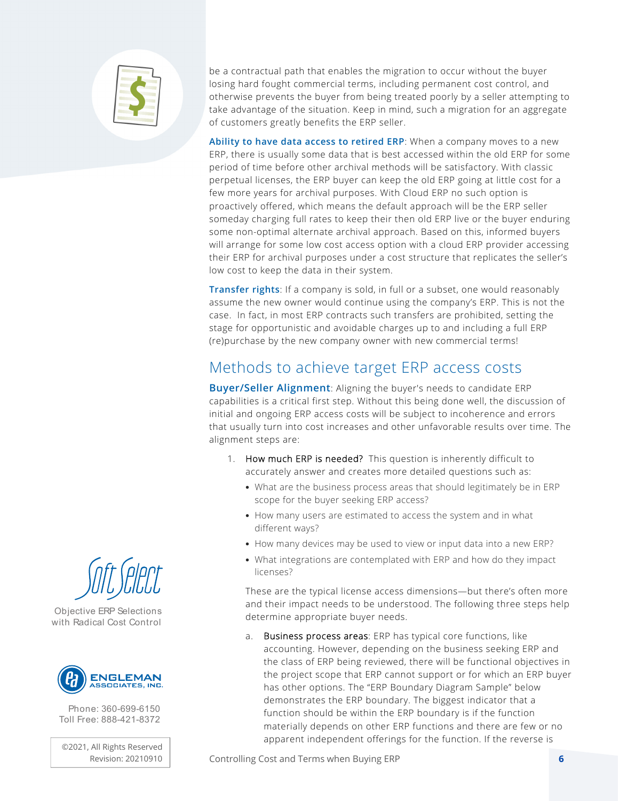

be a contractual path that enables the migration to occur without the buyer losing hard fought commercial terms, including permanent cost control, and otherwise prevents the buyer from being treated poorly by a seller attempting to take advantage of the situation. Keep in mind, such a migration for an aggregate of customers greatly benefits the ERP seller.

Ability to have data access to retired ERP: When a company moves to a new ERP, there is usually some data that is best accessed within the old ERP for some period of time before other archival methods will be satisfactory. With classic perpetual licenses, the ERP buyer can keep the old ERP going at little cost for a few more years for archival purposes. With Cloud ERP no such option is proactively offered, which means the default approach will be the ERP seller someday charging full rates to keep their then old ERP live or the buyer enduring some non-optimal alternate archival approach. Based on this, informed buyers will arrange for some low cost access option with a cloud ERP provider accessing their ERP for archival purposes under a cost structure that replicates the seller's low cost to keep the data in their system.

Transfer rights: If a company is sold, in full or a subset, one would reasonably assume the new owner would continue using the company's ERP. This is not the case. In fact, in most ERP contracts such transfers are prohibited, setting the stage for opportunistic and avoidable charges up to and including a full ERP (re)purchase by the new company owner with new commercial terms!

#### Methods to achieve target ERP access costs

Buyer/Seller Alignment: Aligning the buyer's needs to candidate ERP capabilities is a critical first step. Without this being done well, the discussion of initial and ongoing ERP access costs will be subject to incoherence and errors that usually turn into cost increases and other unfavorable results over time. The alignment steps are:

- 1. How much ERP is needed? This question is inherently difficult to accurately answer and creates more detailed questions such as:
	- What are the business process areas that should legitimately be in ERP scope for the buyer seeking ERP access?
	- How many users are estimated to access the system and in what different ways?
	- How many devices may be used to view or input data into a new ERP?
	- What integrations are contemplated with ERP and how do they impact licenses?

These are the typical license access dimensions—but there's often more and their impact needs to be understood. The following three steps help determine appropriate buyer needs.

a. Business process areas: ERP has typical core functions, like accounting. However, depending on the business seeking ERP and the class of ERP being reviewed, there will be functional objectives in the project scope that ERP cannot support or for which an ERP buyer has other options. The "ERP Boundary Diagram Sample" below demonstrates the ERP boundary. The biggest indicator that a function should be within the ERP boundary is if the function materially depends on other ERP functions and there are few or no apparent independent offerings for the function. If the reverse is



Objective ERP Selections with Radical Cost Control



Phone: 360-699-6150 Toll Free: 888-421-8372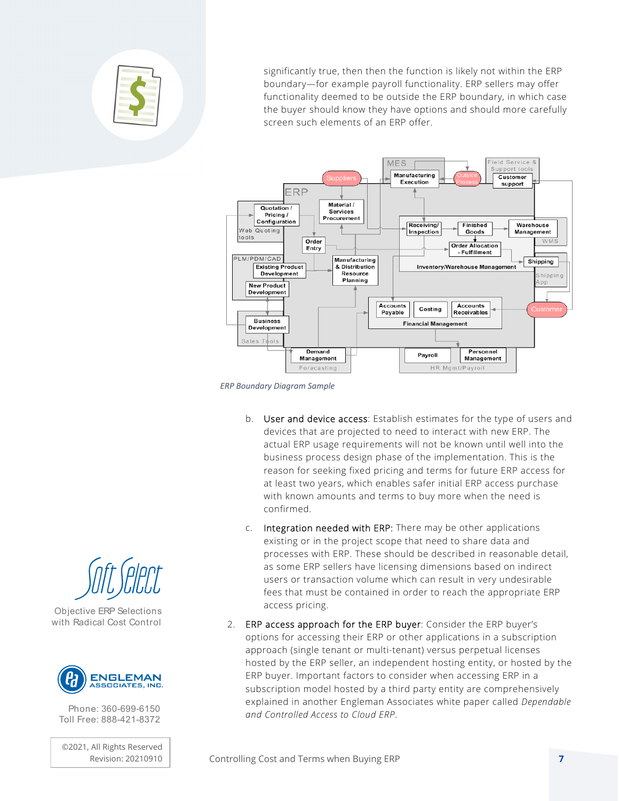

significantly true, then then the function is likely not within the ERP boundary—for example payroll functionality. ERP sellers may offer functionality deemed to be outside the ERP boundary, in which case the buyer should know they have options and should more carefully screen such elements of an ERP offer.



*ERP Boundary Diagram Sample*

- b. User and device access: Establish estimates for the type of users and devices that are projected to need to interact with new ERP. The actual ERP usage requirements will not be known until well into the business process design phase of the implementation. This is the reason for seeking fixed pricing and terms for future ERP access for at least two years, which enables safer initial ERP access purchase with known amounts and terms to buy more when the need is confirmed.
- c. Integration needed with ERP: There may be other applications existing or in the project scope that need to share data and processes with ERP. These should be described in reasonable detail, as some ERP sellers have licensing dimensions based on indirect users or transaction volume which can result in very undesirable fees that must be contained in order to reach the appropriate ERP access pricing.
- 2. ERP access approach for the ERP buyer: Consider the ERP buyer's options for accessing their ERP or other applications in a subscription approach (single tenant or multi-tenant) versus perpetual licenses hosted by the ERP seller, an independent hosting entity, or hosted by the ERP buyer. Important factors to consider when accessing ERP in a subscription model hosted by a third party entity are comprehensively explained in another Engleman Associates white paper called *Dependable and Controlled Access to Cloud ERP*.



Objective ERP Selections with Radical Cost Control



Phone: 360-699-6150 Toll Free: 888-421-8372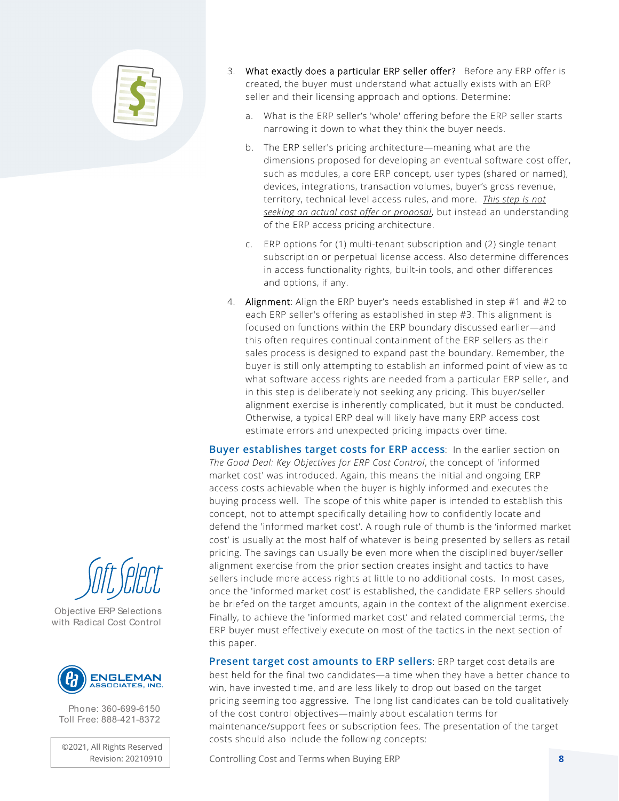

- 3. What exactly does a particular ERP seller offer? Before any ERP offer is created, the buyer must understand what actually exists with an ERP seller and their licensing approach and options. Determine:
	- a. What is the ERP seller's 'whole' offering before the ERP seller starts narrowing it down to what they think the buyer needs.
	- b. The ERP seller's pricing architecture—meaning what are the dimensions proposed for developing an eventual software cost offer, such as modules, a core ERP concept, user types (shared or named), devices, integrations, transaction volumes, buyer's gross revenue, territory, technical-level access rules, and more. *This step is not seeking an actual cost offer or proposal*, but instead an understanding of the ERP access pricing architecture.
	- c. ERP options for (1) multi-tenant subscription and (2) single tenant subscription or perpetual license access. Also determine differences in access functionality rights, built-in tools, and other differences and options, if any.
- 4. Alignment: Align the ERP buyer's needs established in step #1 and #2 to each ERP seller's offering as established in step #3. This alignment is focused on functions within the ERP boundary discussed earlier—and this often requires continual containment of the ERP sellers as their sales process is designed to expand past the boundary. Remember, the buyer is still only attempting to establish an informed point of view as to what software access rights are needed from a particular ERP seller, and in this step is deliberately not seeking any pricing. This buyer/seller alignment exercise is inherently complicated, but it must be conducted. Otherwise, a typical ERP deal will likely have many ERP access cost estimate errors and unexpected pricing impacts over time.

Buyer establishes target costs for ERP access: In the earlier section on *The Good Deal: Key Objectives for ERP Cost Control*, the concept of 'informed market cost' was introduced. Again, this means the initial and ongoing ERP access costs achievable when the buyer is highly informed and executes the buying process well. The scope of this white paper is intended to establish this concept, not to attempt specifically detailing how to confidently locate and defend the 'informed market cost'. A rough rule of thumb is the 'informed market cost' is usually at the most half of whatever is being presented by sellers as retail pricing. The savings can usually be even more when the disciplined buyer/seller alignment exercise from the prior section creates insight and tactics to have sellers include more access rights at little to no additional costs. In most cases, once the 'informed market cost' is established, the candidate ERP sellers should be briefed on the target amounts, again in the context of the alignment exercise. Finally, to achieve the 'informed market cost' and related commercial terms, the ERP buyer must effectively execute on most of the tactics in the next section of this paper.

Present target cost amounts to ERP sellers: ERP target cost details are best held for the final two candidates—a time when they have a better chance to win, have invested time, and are less likely to drop out based on the target pricing seeming too aggressive. The long list candidates can be told qualitatively of the cost control objectives—mainly about escalation terms for maintenance/support fees or subscription fees. The presentation of the target costs should also include the following concepts:

Controlling Cost and Terms when Buying ERP **8**



Objective ERP Selections with Radical Cost Control



Phone: 360-699-6150 Toll Free: 888-421-8372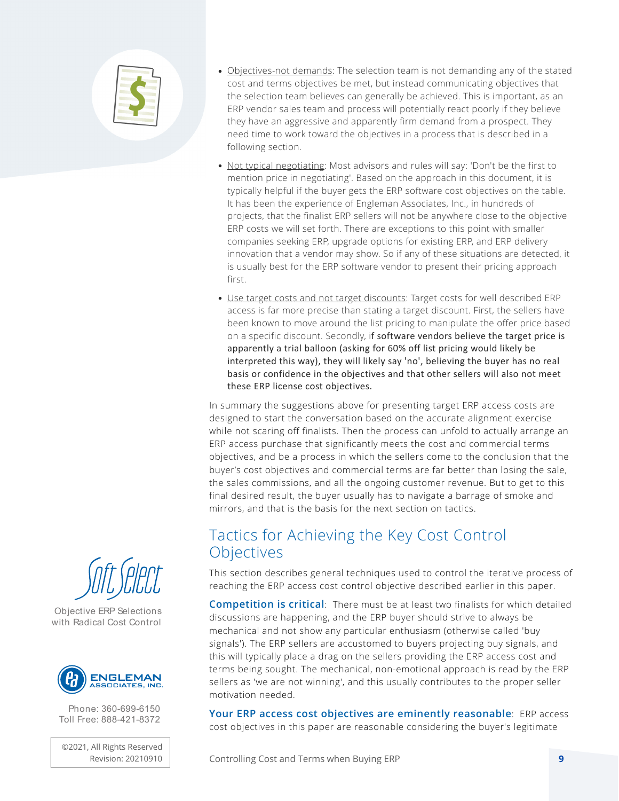

- Objectives-not demands: The selection team is not demanding any of the stated cost and terms objectives be met, but instead communicating objectives that the selection team believes can generally be achieved. This is important, as an ERP vendor sales team and process will potentially react poorly if they believe they have an aggressive and apparently firm demand from a prospect. They need time to work toward the objectives in a process that is described in a following section.
- Not typical negotiating: Most advisors and rules will say: 'Don't be the first to mention price in negotiating'. Based on the approach in this document, it is typically helpful if the buyer gets the ERP software cost objectives on the table. It has been the experience of Engleman Associates, Inc., in hundreds of projects, that the finalist ERP sellers will not be anywhere close to the objective ERP costs we will set forth. There are exceptions to this point with smaller companies seeking ERP, upgrade options for existing ERP, and ERP delivery innovation that a vendor may show. So if any of these situations are detected, it is usually best for the ERP software vendor to present their pricing approach first.
- Use target costs and not target discounts: Target costs for well described ERP access is far more precise than stating a target discount. First, the sellers have been known to move around the list pricing to manipulate the offer price based on a specific discount. Secondly, if software vendors believe the target price is apparently a trial balloon (asking for 60% off list pricing would likely be interpreted this way), they will likely say 'no', believing the buyer has no real basis or confidence in the objectives and that other sellers will also not meet these ERP license cost objectives.

In summary the suggestions above for presenting target ERP access costs are designed to start the conversation based on the accurate alignment exercise while not scaring off finalists. Then the process can unfold to actually arrange an ERP access purchase that significantly meets the cost and commercial terms objectives, and be a process in which the sellers come to the conclusion that the buyer's cost objectives and commercial terms are far better than losing the sale, the sales commissions, and all the ongoing customer revenue. But to get to this final desired result, the buyer usually has to navigate a barrage of smoke and mirrors, and that is the basis for the next section on tactics.

#### Tactics for Achieving the Key Cost Control **Objectives**

This section describes general techniques used to control the iterative process of reaching the ERP access cost control objective described earlier in this paper.

Competition is critical: There must be at least two finalists for which detailed discussions are happening, and the ERP buyer should strive to always be mechanical and not show any particular enthusiasm (otherwise called 'buy signals'). The ERP sellers are accustomed to buyers projecting buy signals, and this will typically place a drag on the sellers providing the ERP access cost and terms being sought. The mechanical, non-emotional approach is read by the ERP sellers as 'we are not winning', and this usually contributes to the proper seller motivation needed.

Your ERP access cost objectives are eminently reasonable: ERP access cost objectives in this paper are reasonable considering the buyer's legitimate





Objective ERP Selections with Radical Cost Control



Phone: 360-699-6150 Toll Free: 888-421-8372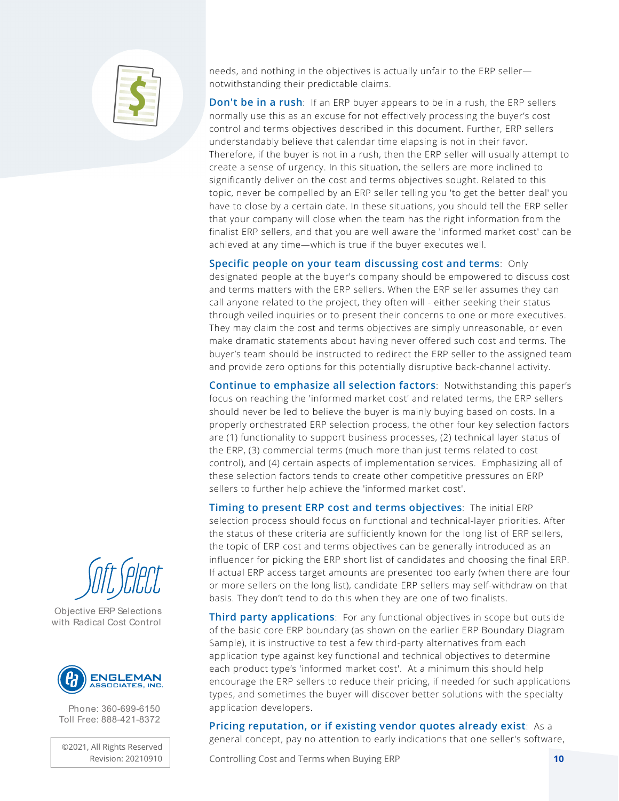

needs, and nothing in the objectives is actually unfair to the ERP seller notwithstanding their predictable claims.

**Don't be in a rush:** If an ERP buyer appears to be in a rush, the ERP sellers normally use this as an excuse for not effectively processing the buyer's cost control and terms objectives described in this document. Further, ERP sellers understandably believe that calendar time elapsing is not in their favor. Therefore, if the buyer is not in a rush, then the ERP seller will usually attempt to create a sense of urgency. In this situation, the sellers are more inclined to significantly deliver on the cost and terms objectives sought. Related to this topic, never be compelled by an ERP seller telling you 'to get the better deal' you have to close by a certain date. In these situations, you should tell the ERP seller that your company will close when the team has the right information from the finalist ERP sellers, and that you are well aware the 'informed market cost' can be achieved at any time—which is true if the buyer executes well.

Specific people on your team discussing cost and terms: Only

designated people at the buyer's company should be empowered to discuss cost and terms matters with the ERP sellers. When the ERP seller assumes they can call anyone related to the project, they often will - either seeking their status through veiled inquiries or to present their concerns to one or more executives. They may claim the cost and terms objectives are simply unreasonable, or even make dramatic statements about having never offered such cost and terms. The buyer's team should be instructed to redirect the ERP seller to the assigned team and provide zero options for this potentially disruptive back-channel activity.

Continue to emphasize all selection factors: Notwithstanding this paper's focus on reaching the 'informed market cost' and related terms, the ERP sellers should never be led to believe the buyer is mainly buying based on costs. In a properly orchestrated ERP selection process, the other four key selection factors are (1) functionality to support business processes, (2) technical layer status of the ERP, (3) commercial terms (much more than just terms related to cost control), and (4) certain aspects of implementation services. Emphasizing all of these selection factors tends to create other competitive pressures on ERP sellers to further help achieve the 'informed market cost'.

Timing to present ERP cost and terms objectives: The initial ERP selection process should focus on functional and technical-layer priorities. After the status of these criteria are sufficiently known for the long list of ERP sellers, the topic of ERP cost and terms objectives can be generally introduced as an influencer for picking the ERP short list of candidates and choosing the final ERP. If actual ERP access target amounts are presented too early (when there are four or more sellers on the long list), candidate ERP sellers may self-withdraw on that basis. They don't tend to do this when they are one of two finalists.

Third party applications: For any functional objectives in scope but outside of the basic core ERP boundary (as shown on the earlier ERP Boundary Diagram Sample), it is instructive to test a few third-party alternatives from each application type against key functional and technical objectives to determine each product type's 'informed market cost'. At a minimum this should help encourage the ERP sellers to reduce their pricing, if needed for such applications types, and sometimes the buyer will discover better solutions with the specialty application developers.

Pricing reputation, or if existing vendor quotes already exist: As a general concept, pay no attention to early indications that one seller's software,

Controlling Cost and Terms when Buying ERP **10**



Objective ERP Selections with Radical Cost Control



Phone: 360-699-6150 Toll Free: 888-421-8372